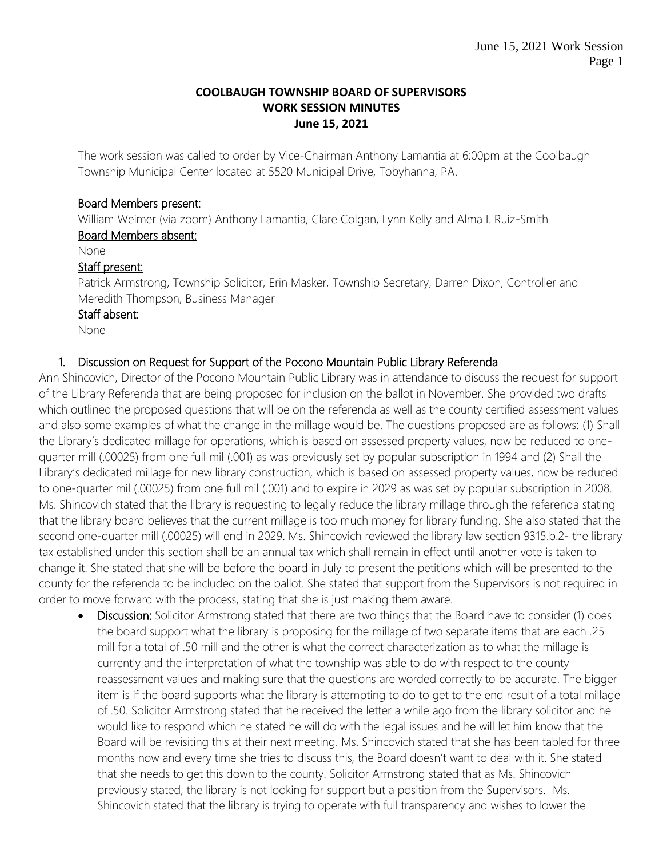#### **COOLBAUGH TOWNSHIP BOARD OF SUPERVISORS WORK SESSION MINUTES June 15, 2021**

The work session was called to order by Vice-Chairman Anthony Lamantia at 6:00pm at the Coolbaugh Township Municipal Center located at 5520 Municipal Drive, Tobyhanna, PA.

### Board Members present:

William Weimer (via zoom) Anthony Lamantia, Clare Colgan, Lynn Kelly and Alma I. Ruiz-Smith Board Members absent:

None

### Staff present:

Patrick Armstrong, Township Solicitor, Erin Masker, Township Secretary, Darren Dixon, Controller and Meredith Thompson, Business Manager

### Staff absent:

None

## 1. Discussion on Request for Support of the Pocono Mountain Public Library Referenda

Ann Shincovich, Director of the Pocono Mountain Public Library was in attendance to discuss the request for support of the Library Referenda that are being proposed for inclusion on the ballot in November. She provided two drafts which outlined the proposed questions that will be on the referenda as well as the county certified assessment values and also some examples of what the change in the millage would be. The questions proposed are as follows: (1) Shall the Library's dedicated millage for operations, which is based on assessed property values, now be reduced to onequarter mill (.00025) from one full mil (.001) as was previously set by popular subscription in 1994 and (2) Shall the Library's dedicated millage for new library construction, which is based on assessed property values, now be reduced to one-quarter mil (.00025) from one full mil (.001) and to expire in 2029 as was set by popular subscription in 2008. Ms. Shincovich stated that the library is requesting to legally reduce the library millage through the referenda stating that the library board believes that the current millage is too much money for library funding. She also stated that the second one-quarter mill (.00025) will end in 2029. Ms. Shincovich reviewed the library law section 9315.b.2- the library tax established under this section shall be an annual tax which shall remain in effect until another vote is taken to change it. She stated that she will be before the board in July to present the petitions which will be presented to the county for the referenda to be included on the ballot. She stated that support from the Supervisors is not required in order to move forward with the process, stating that she is just making them aware.

Discussion: Solicitor Armstrong stated that there are two things that the Board have to consider (1) does the board support what the library is proposing for the millage of two separate items that are each .25 mill for a total of .50 mill and the other is what the correct characterization as to what the millage is currently and the interpretation of what the township was able to do with respect to the county reassessment values and making sure that the questions are worded correctly to be accurate. The bigger item is if the board supports what the library is attempting to do to get to the end result of a total millage of .50. Solicitor Armstrong stated that he received the letter a while ago from the library solicitor and he would like to respond which he stated he will do with the legal issues and he will let him know that the Board will be revisiting this at their next meeting. Ms. Shincovich stated that she has been tabled for three months now and every time she tries to discuss this, the Board doesn't want to deal with it. She stated that she needs to get this down to the county. Solicitor Armstrong stated that as Ms. Shincovich previously stated, the library is not looking for support but a position from the Supervisors. Ms. Shincovich stated that the library is trying to operate with full transparency and wishes to lower the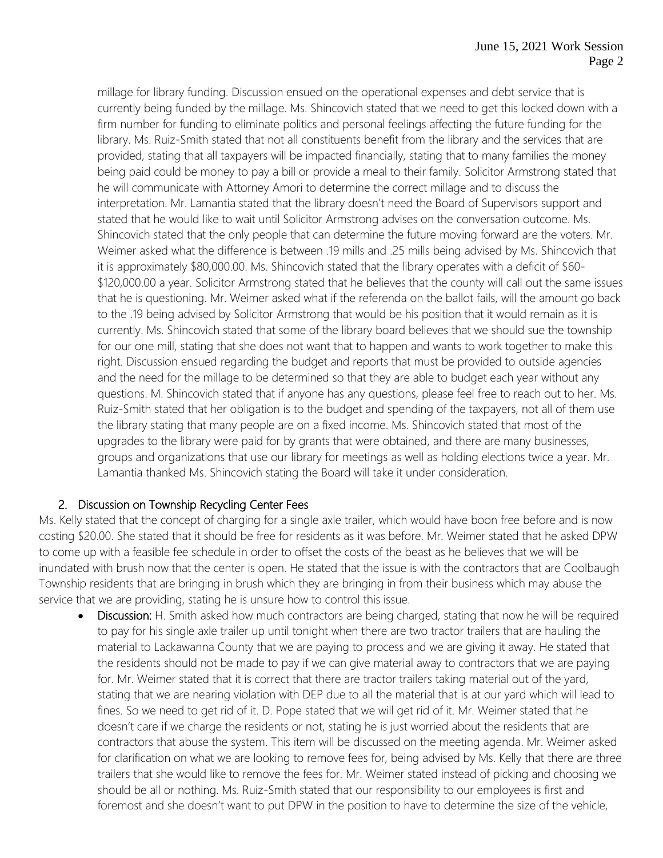millage for library funding. Discussion ensued on the operational expenses and debt service that is currently being funded by the millage. Ms. Shincovich stated that we need to get this locked down with a firm number for funding to eliminate politics and personal feelings affecting the future funding for the library. Ms. Ruiz-Smith stated that not all constituents benefit from the library and the services that are provided, stating that all taxpayers will be impacted financially, stating that to many families the money being paid could be money to pay a bill or provide a meal to their family. Solicitor Armstrong stated that he will communicate with Attorney Amori to determine the correct millage and to discuss the interpretation. Mr. Lamantia stated that the library doesn't need the Board of Supervisors support and stated that he would like to wait until Solicitor Armstrong advises on the conversation outcome. Ms. Shincovich stated that the only people that can determine the future moving forward are the voters. Mr. Weimer asked what the difference is between .19 mills and .25 mills being advised by Ms. Shincovich that it is approximately \$80,000.00. Ms. Shincovich stated that the library operates with a deficit of \$60- \$120,000.00 a year. Solicitor Armstrong stated that he believes that the county will call out the same issues that he is questioning. Mr. Weimer asked what if the referenda on the ballot fails, will the amount go back to the .19 being advised by Solicitor Armstrong that would be his position that it would remain as it is currently. Ms. Shincovich stated that some of the library board believes that we should sue the township for our one mill, stating that she does not want that to happen and wants to work together to make this right. Discussion ensued regarding the budget and reports that must be provided to outside agencies and the need for the millage to be determined so that they are able to budget each year without any questions. M. Shincovich stated that if anyone has any questions, please feel free to reach out to her. Ms. Ruiz-Smith stated that her obligation is to the budget and spending of the taxpayers, not all of them use the library stating that many people are on a fixed income. Ms. Shincovich stated that most of the upgrades to the library were paid for by grants that were obtained, and there are many businesses, groups and organizations that use our library for meetings as well as holding elections twice a year. Mr. Lamantia thanked Ms. Shincovich stating the Board will take it under consideration.

## 2. Discussion on Township Recycling Center Fees

Ms. Kelly stated that the concept of charging for a single axle trailer, which would have boon free before and is now costing \$20.00. She stated that it should be free for residents as it was before. Mr. Weimer stated that he asked DPW to come up with a feasible fee schedule in order to offset the costs of the beast as he believes that we will be inundated with brush now that the center is open. He stated that the issue is with the contractors that are Coolbaugh Township residents that are bringing in brush which they are bringing in from their business which may abuse the service that we are providing, stating he is unsure how to control this issue.

Discussion: H. Smith asked how much contractors are being charged, stating that now he will be required to pay for his single axle trailer up until tonight when there are two tractor trailers that are hauling the material to Lackawanna County that we are paying to process and we are giving it away. He stated that the residents should not be made to pay if we can give material away to contractors that we are paying for. Mr. Weimer stated that it is correct that there are tractor trailers taking material out of the yard, stating that we are nearing violation with DEP due to all the material that is at our yard which will lead to fines. So we need to get rid of it. D. Pope stated that we will get rid of it. Mr. Weimer stated that he doesn't care if we charge the residents or not, stating he is just worried about the residents that are contractors that abuse the system. This item will be discussed on the meeting agenda. Mr. Weimer asked for clarification on what we are looking to remove fees for, being advised by Ms. Kelly that there are three trailers that she would like to remove the fees for. Mr. Weimer stated instead of picking and choosing we should be all or nothing. Ms. Ruiz-Smith stated that our responsibility to our employees is first and foremost and she doesn't want to put DPW in the position to have to determine the size of the vehicle,